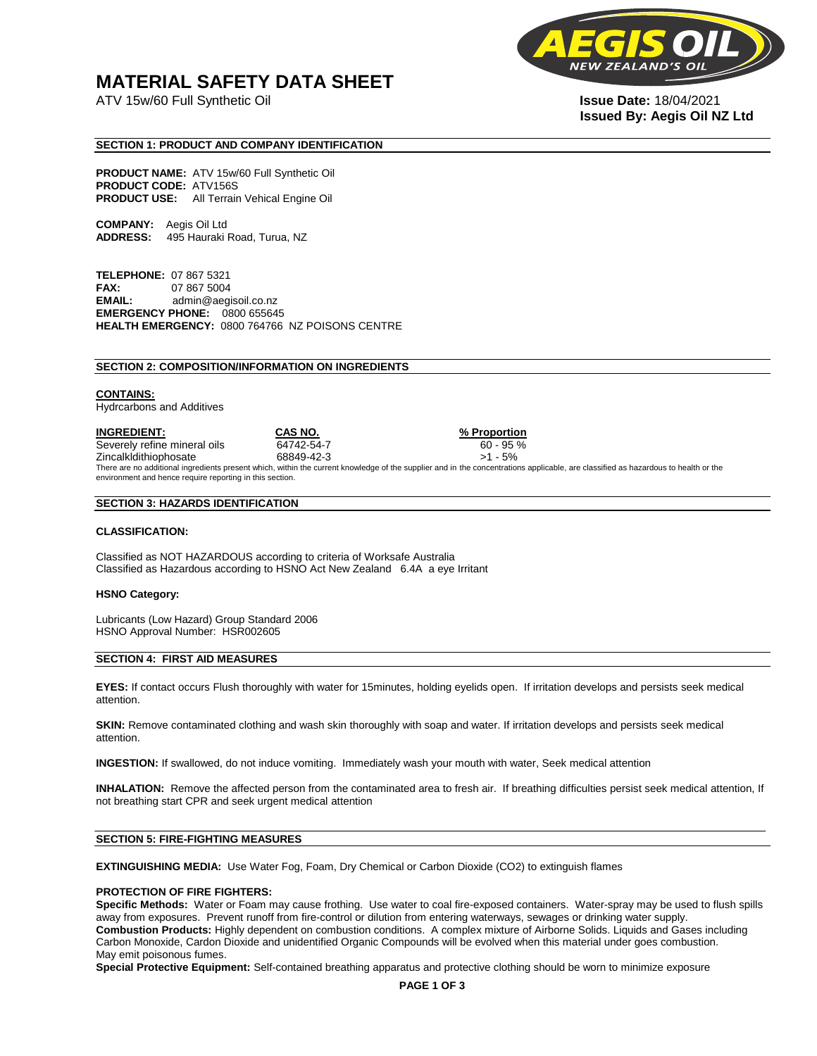## **MATERIAL SAFETY DATA SHEET**

ATV 15w/60 Full Synthetic Oil **Issue Date:** 18/04/2021



# **Issued By: Aegis Oil NZ Ltd**

#### **SECTION 1: PRODUCT AND COMPANY IDENTIFICATION**

**PRODUCT NAME:** ATV 15w/60 Full Synthetic Oil **PRODUCT CODE:** ATV156S **PRODUCT USE:** All Terrain Vehical Engine Oil

**COMPANY:** Aegis Oil Ltd **ADDRESS:** 495 Hauraki Road, Turua, NZ

**TELEPHONE:** 07 867 5321 **FAX:** 07 867 5004 **EMAIL:** admin@aegisoil.co.nz **EMERGENCY PHONE:** 0800 655645 **HEALTH EMERGENCY:** 0800 764766 NZ POISONS CENTRE

#### **SECTION 2: COMPOSITION/INFORMATION ON INGREDIENTS**

#### **CONTAINS:**

Hydrcarbons and Additives

**INGREDIENT: CAS NO. % Proportion**  Severely refine mineral oils 64742-54-7 60 - 95 % Zincalkldithiophosate 68849-42-3 >1 - 5% There are no additional ingredients present which, within the current knowledge of the supplier and in the concentrations applicable, are classified as hazardous to health or the environment and hence require reporting in this section.

#### **SECTION 3: HAZARDS IDENTIFICATION**

#### **CLASSIFICATION:**

Classified as NOT HAZARDOUS according to criteria of Worksafe Australia Classified as Hazardous according to HSNO Act New Zealand 6.4A a eye Irritant

#### **HSNO Category:**

Lubricants (Low Hazard) Group Standard 2006 HSNO Approval Number: HSR002605

#### **SECTION 4: FIRST AID MEASURES**

**EYES:** If contact occurs Flush thoroughly with water for 15minutes, holding eyelids open. If irritation develops and persists seek medical attention.

**SKIN:** Remove contaminated clothing and wash skin thoroughly with soap and water. If irritation develops and persists seek medical attention.

**INGESTION:** If swallowed, do not induce vomiting. Immediately wash your mouth with water, Seek medical attention

**INHALATION:** Remove the affected person from the contaminated area to fresh air. If breathing difficulties persist seek medical attention, If not breathing start CPR and seek urgent medical attention

#### **SECTION 5: FIRE-FIGHTING MEASURES**

**EXTINGUISHING MEDIA:** Use Water Fog, Foam, Dry Chemical or Carbon Dioxide (CO2) to extinguish flames

#### **PROTECTION OF FIRE FIGHTERS:**

**Specific Methods:** Water or Foam may cause frothing. Use water to coal fire-exposed containers. Water-spray may be used to flush spills away from exposures. Prevent runoff from fire-control or dilution from entering waterways, sewages or drinking water supply. **Combustion Products:** Highly dependent on combustion conditions. A complex mixture of Airborne Solids. Liquids and Gases including Carbon Monoxide, Cardon Dioxide and unidentified Organic Compounds will be evolved when this material under goes combustion. May emit poisonous fumes.

**Special Protective Equipment:** Self-contained breathing apparatus and protective clothing should be worn to minimize exposure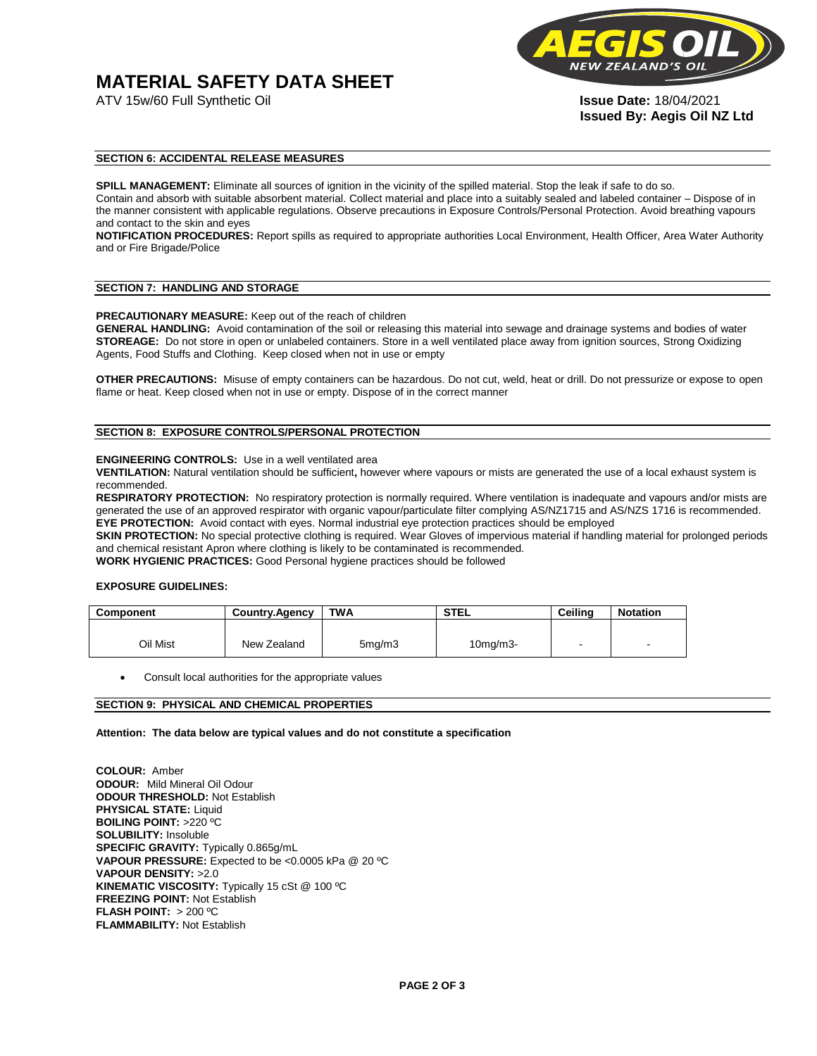## **MATERIAL SAFETY DATA SHEET**



**Issued By: Aegis Oil NZ Ltd** 

#### **SECTION 6: ACCIDENTAL RELEASE MEASURES**

**SPILL MANAGEMENT:** Eliminate all sources of ignition in the vicinity of the spilled material. Stop the leak if safe to do so. Contain and absorb with suitable absorbent material. Collect material and place into a suitably sealed and labeled container – Dispose of in the manner consistent with applicable regulations. Observe precautions in Exposure Controls/Personal Protection. Avoid breathing vapours and contact to the skin and eyes

**NOTIFICATION PROCEDURES:** Report spills as required to appropriate authorities Local Environment, Health Officer, Area Water Authority and or Fire Brigade/Police

#### **SECTION 7: HANDLING AND STORAGE**

**PRECAUTIONARY MEASURE:** Keep out of the reach of children

**GENERAL HANDLING:** Avoid contamination of the soil or releasing this material into sewage and drainage systems and bodies of water **STOREAGE:** Do not store in open or unlabeled containers. Store in a well ventilated place away from ignition sources, Strong Oxidizing Agents, Food Stuffs and Clothing. Keep closed when not in use or empty

**OTHER PRECAUTIONS:** Misuse of empty containers can be hazardous. Do not cut, weld, heat or drill. Do not pressurize or expose to open flame or heat. Keep closed when not in use or empty. Dispose of in the correct manner

#### **SECTION 8: EXPOSURE CONTROLS/PERSONAL PROTECTION**

#### **ENGINEERING CONTROLS:** Use in a well ventilated area

**VENTILATION:** Natural ventilation should be sufficient**,** however where vapours or mists are generated the use of a local exhaust system is recommended.

**RESPIRATORY PROTECTION:** No respiratory protection is normally required. Where ventilation is inadequate and vapours and/or mists are generated the use of an approved respirator with organic vapour/particulate filter complying AS/NZ1715 and AS/NZS 1716 is recommended. **EYE PROTECTION:** Avoid contact with eyes. Normal industrial eye protection practices should be employed

**SKIN PROTECTION:** No special protective clothing is required. Wear Gloves of impervious material if handling material for prolonged periods and chemical resistant Apron where clothing is likely to be contaminated is recommended.

**WORK HYGIENIC PRACTICES:** Good Personal hygiene practices should be followed

#### **EXPOSURE GUIDELINES:**

| <b>Component</b> | <b>Country.Agency</b> | <b>TWA</b>          | <b>STEL</b>    | Ceilina | <b>Notation</b>          |
|------------------|-----------------------|---------------------|----------------|---------|--------------------------|
|                  |                       |                     |                |         |                          |
| Oil Mist         | New Zealand           | 5 <sub>mq</sub> /m3 | $10$ mg/m $3-$ |         | $\overline{\phantom{a}}$ |

Consult local authorities for the appropriate values

#### **SECTION 9: PHYSICAL AND CHEMICAL PROPERTIES**

**Attention: The data below are typical values and do not constitute a specification** 

**COLOUR:** Amber **ODOUR:** Mild Mineral Oil Odour **ODOUR THRESHOLD:** Not Establish **PHYSICAL STATE:** Liquid **BOILING POINT:** >220 ºC **SOLUBILITY:** Insoluble **SPECIFIC GRAVITY:** Typically 0.865g/mL **VAPOUR PRESSURE:** Expected to be <0.0005 kPa @ 20 ºC **VAPOUR DENSITY:** >2.0 **KINEMATIC VISCOSITY:** Typically 15 cSt @ 100 ºC **FREEZING POINT: Not Establish FLASH POINT:** > 200 ºC **FLAMMABILITY:** Not Establish